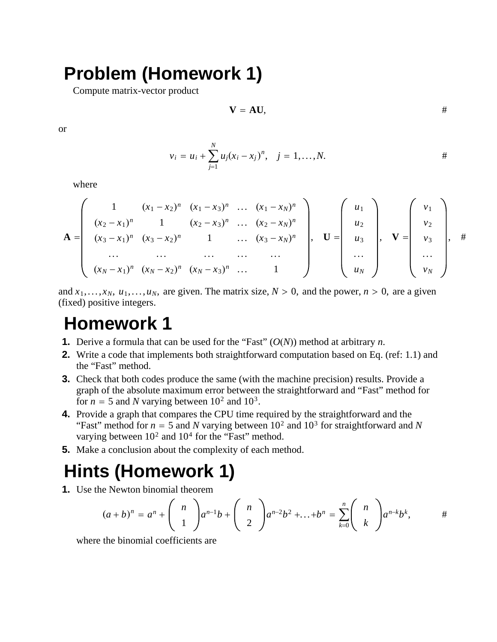## **Problem (Homework 1)**

Compute matrix-vector product

$$
V = AU, \qquad \qquad #
$$

or

$$
v_i = u_i + \sum_{j=1}^{N} u_j (x_i - x_j)^n
$$
,  $j = 1,...,N$ .

where

$$
\mathbf{A} = \begin{pmatrix} 1 & (x_1 - x_2)^n & (x_1 - x_3)^n & \dots & (x_1 - x_N)^n \\ (x_2 - x_1)^n & 1 & (x_2 - x_3)^n & \dots & (x_2 - x_N)^n \\ (x_3 - x_1)^n & (x_3 - x_2)^n & 1 & \dots & (x_3 - x_N)^n \\ \dots & \dots & \dots & \dots & \dots \\ (x_N - x_1)^n & (x_N - x_2)^n & (x_N - x_3)^n & \dots & 1 \end{pmatrix}, \quad \mathbf{U} = \begin{pmatrix} u_1 \\ u_2 \\ u_3 \\ \dots \\ u_N \end{pmatrix}, \quad \mathbf{V} = \begin{pmatrix} v_1 \\ v_2 \\ v_3 \\ \dots \\ v_N \end{pmatrix}, \quad \#
$$

and  $x_1, \ldots, x_N$ ,  $u_1, \ldots, u_N$ , are given. The matrix size,  $N > 0$ , and the power,  $n > 0$ , are a given (fixed) positive integers.

## **Homework 1**

- **1.** Derive a formula that can be used for the "Fast" (*O*(*N*)) method at arbitrary *n*.
- **2.** Write a code that implements both straightforward computation based on Eq. (ref: 1.1) and the "Fast" method.
- **3.** Check that both codes produce the same (with the machine precision) results. Provide a graph of the absolute maximum error between the straightforward and "Fast" method for for  $n = 5$  and *N* varying between  $10^2$  and  $10^3$ .
- **4.** Provide a graph that compares the CPU time required by the straightforward and the "Fast" method for  $n = 5$  and *N* varying between  $10^2$  and  $10^3$  for straightforward and *N* varying between  $10^2$  and  $10^4$  for the "Fast" method.
- **5.** Make a conclusion about the complexity of each method.

## **Hints (Homework 1)**

**1.** Use the Newton binomial theorem

$$
(a+b)^n = a^n + \binom{n}{1}a^{n-1}b + \binom{n}{2}a^{n-2}b^2 + \ldots + b^n = \sum_{k=0}^n \binom{n}{k}a^{n-k}b^k, \qquad \#
$$

where the binomial coefficients are